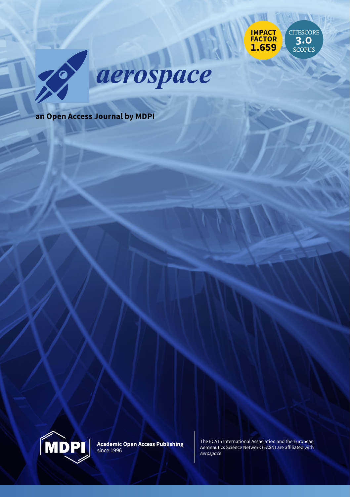



**an Open Access Journal by MDPI**



**Academic Open Access Publishing** since 1996

The ECATS International Association and the European Aeronautics Science Network (EASN) are afiliated with *Aerospace*

CITESCORE **3.0** SCOPUS

**IMPACT FACTOR 1.659**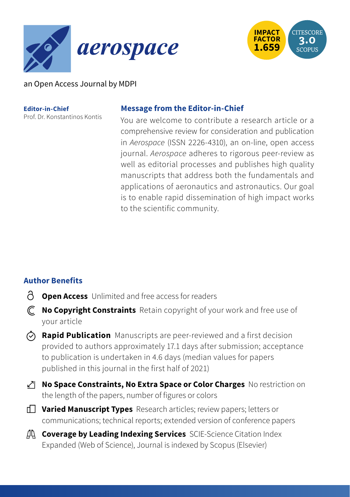



### an Open Access Journal by MDPI

**Editor-in-Chief** Prof. Dr. Konstantinos Kontis

#### **Message from the Editor-in-Chief**

You are welcome to contribute a research article or a comprehensive review for consideration and publication in *Aerospace* (ISSN 2226-4310), an on-line, open access journal. *Aerospace* adheres to rigorous peer-review as well as editorial processes and publishes high quality manuscripts that address both the fundamentals and applications of aeronautics and astronautics. Our goal is to enable rapid dissemination of high impact works to the scientific community.

# **Author Benefits**

- **Open Access** Unlimited and free access for readers
- **No Copyright Constraints** Retain copyright of your work and free use of your article
- **Rapid Publication** Manuscripts are peer-reviewed and a first decision provided to authors approximately 17.1 days after submission; acceptance to publication is undertaken in 4.6 days (median values for papers published in this journal in the first half of 2021)
- **No Space Constraints, No Extra Space or Color Charges** No restriction on the length of the papers, number of figures or colors
- **Varied Manuscript Types** Research articles; review papers; letters or communications; technical reports; extended version of conference papers
- **Coverage by Leading Indexing Services** SCIE-Science Citation Index Expanded (Web of Science), Journal is indexed by Scopus (Elsevier)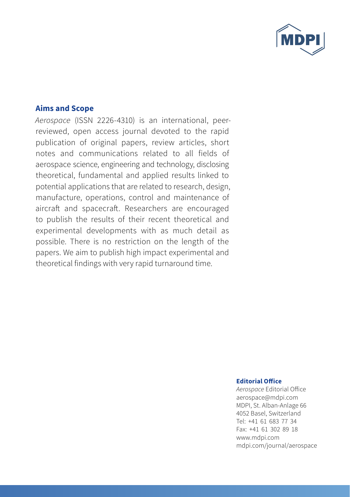

#### **Aims and Scope**

*Aerospace* (ISSN 2226-4310) is an international, peerreviewed, open access journal devoted to the rapid publication of original papers, review articles, short notes and communications related to all fields of aerospace science, engineering and technology, disclosing theoretical, fundamental and applied results linked to potential applications that are related to research, design, manufacture, operations, control and maintenance of aircraft and spacecraft. Researchers are encouraged to publish the results of their recent theoretical and experimental developments with as much detail as possible. There is no restriction on the length of the papers. We aim to publish high impact experimental and theoretical findings with very rapid turnaround time.

#### **Editorial Ofice**

*Aerospace* Editorial Ofice aerospace@mdpi.com MDPI, St. Alban-Anlage 66 4052 Basel, Switzerland Tel: +41 61 683 77 34 Fax: +41 61 302 89 18 www.mdpi.com mdpi.com/journal/aerospace